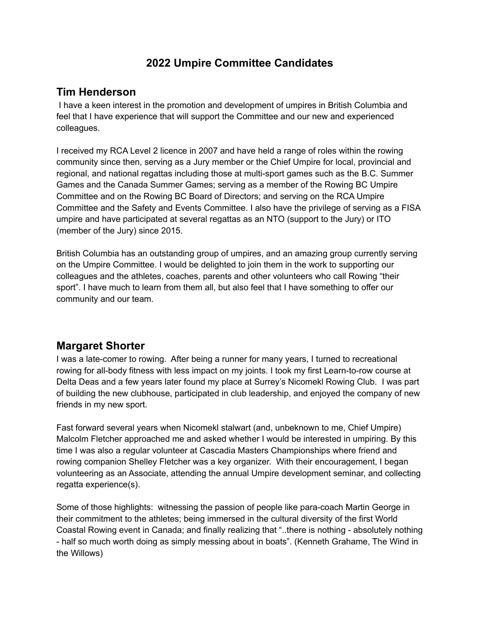## **2022 Umpire Committee Candidates**

## **Tim Henderson**

I have a keen interest in the promotion and development of umpires in British Columbia and feel that I have experience that will support the Committee and our new and experienced colleagues.

I received my RCA Level 2 licence in 2007 and have held a range of roles within the rowing community since then, serving as a Jury member or the Chief Umpire for local, provincial and regional, and national regattas including those at multi-sport games such as the B.C. Summer Games and the Canada Summer Games; serving as a member of the Rowing BC Umpire Committee and on the Rowing BC Board of Directors; and serving on the RCA Umpire Committee and the Safety and Events Committee. I also have the privilege of serving as a FISA umpire and have participated at several regattas as an NTO (support to the Jury) or ITO (member of the Jury) since 2015.

British Columbia has an outstanding group of umpires, and an amazing group currently serving on the Umpire Committee. I would be delighted to join them in the work to supporting our colleagues and the athletes, coaches, parents and other volunteers who call Rowing "their sport". I have much to learn from them all, but also feel that I have something to offer our community and our team.

## **Margaret Shorter**

I was a late-comer to rowing. After being a runner for many years, I turned to recreational rowing for all-body fitness with less impact on my joints. I took my first Learn-to-row course at Delta Deas and a few years later found my place at Surrey's Nicomekl Rowing Club. I was part of building the new clubhouse, participated in club leadership, and enjoyed the company of new friends in my new sport.

Fast forward several years when Nicomekl stalwart (and, unbeknown to me, Chief Umpire) Malcolm Fletcher approached me and asked whether I would be interested in umpiring. By this time I was also a regular volunteer at Cascadia Masters Championships where friend and rowing companion Shelley Fletcher was a key organizer. With their encouragement, I began volunteering as an Associate, attending the annual Umpire development seminar, and collecting regatta experience(s).

Some of those highlights: witnessing the passion of people like para-coach Martin George in their commitment to the athletes; being immersed in the cultural diversity of the first World Coastal Rowing event in Canada; and finally realizing that "..there is nothing - absolutely nothing - half so much worth doing as simply messing about in boats". (Kenneth Grahame, The Wind in the Willows)